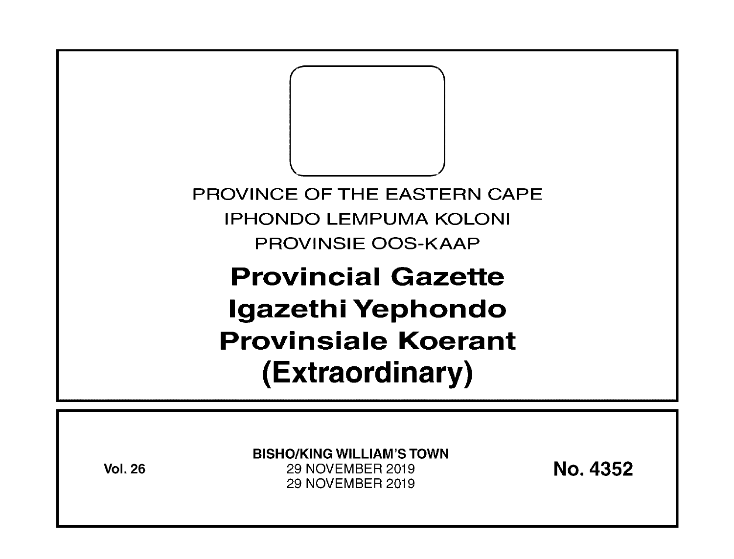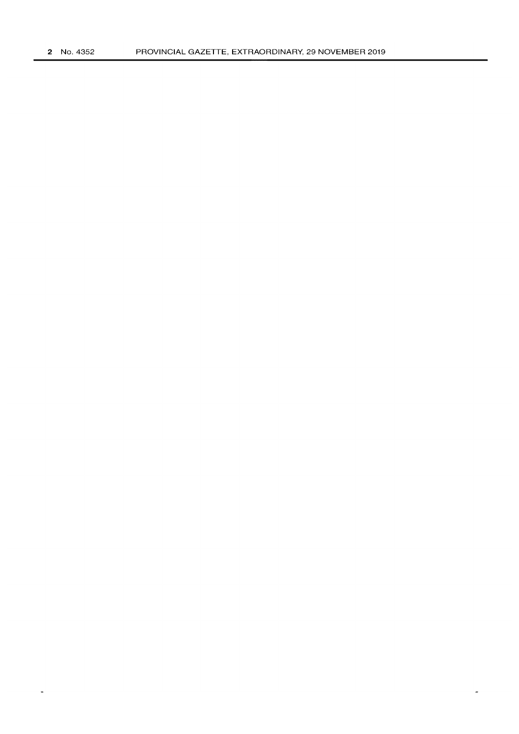$\bar{\mathbf{z}}$ 

 $\overline{\phantom{a}}$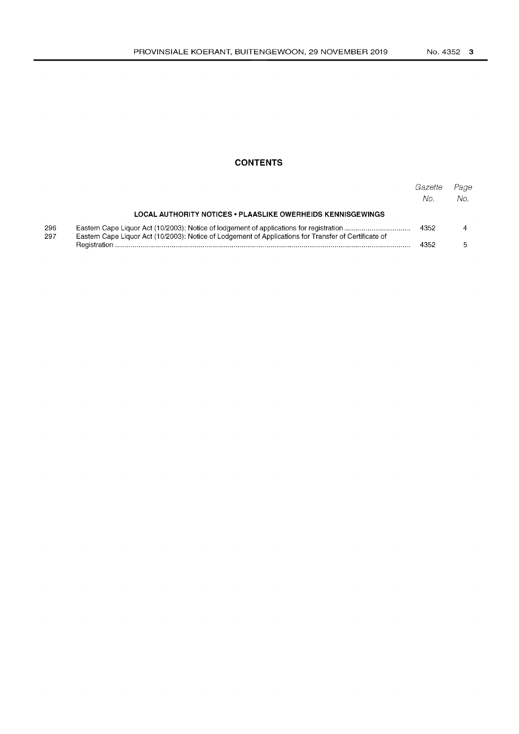## **CONTENTS**

|            |                                                                                                       | Gazette<br>No. | Page<br>No. |
|------------|-------------------------------------------------------------------------------------------------------|----------------|-------------|
|            | LOCAL AUTHORITY NOTICES • PLAASLIKE OWERHEIDS KENNISGEWINGS                                           |                |             |
| 296<br>297 | Eastern Cape Liquor Act (10/2003): Notice of Lodgement of Applications for Transfer of Certificate of | 4352           |             |
|            |                                                                                                       | 4352           |             |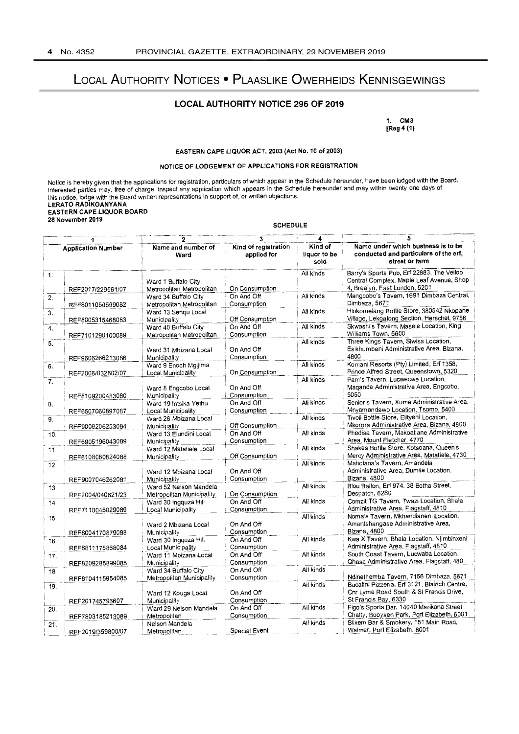# LOCAL AUTHORITY NOTICES . PLAASLIKE OWERHEIDS KENNISGEWINGS

#### **LOCAL AUTHORITY NOTICE 296 OF 2019**

1. CM3  $[Reg 4(1)]$ 

#### EASTERN CAPE LIQUOR ACT, 2003 (Act No. 10 of 2003)

### NOTICE OF LODGEMENT OF APPLICATIONS FOR REGISTRATION

Notice is hereby given that the applications for registration, particulars of which appear in the Schedule hereunder, have been lodged with the Board.<br>Interested parties may, free of charge, inspect any application which a

28 November 2019

#### **SCHEDULE**

|                           |                   | 2                                                   | з<br>Kind of registration |                                 |                                                                                                                        |  |  |
|---------------------------|-------------------|-----------------------------------------------------|---------------------------|---------------------------------|------------------------------------------------------------------------------------------------------------------------|--|--|
| <b>Application Number</b> |                   | Name and number of<br>Ward                          |                           | Kind of<br>liquor to be<br>sold | Name under which business is to be<br>conducted and particulars of the erf,<br>street or farm                          |  |  |
| 1.                        | REF2017/229561/07 | Ward 1 Buffalo City<br>Metropolitan Metropolitan    | On Consumption            | All kinds                       | Barry's Sports Pub, Erf 22883, The Velloo<br>Central Complex, Maple Leaf Avenue, Shop<br>4, Brealyn, East London, 5201 |  |  |
| $\overline{2}$ .          | REF8011050599082  | Ward 34 Buffalo City<br>Metropolitan Metropolitan   | On And Off<br>Consumption | All kinds                       | Mangcobo's Tavem, 1691 Dimbaza Central,<br>Dimbaza, 5671                                                               |  |  |
| $\overline{3}$ .          | REF8005315468083  | Ward 13 Sengu Local<br>Municipality                 | Off Consumption           | All kinds                       | Hiokomelang Bottle Store, 380542 Nkopane<br>Village, Lekgalong Section, Herschel, 9756                                 |  |  |
| 4.                        | REF7101290100089  | Ward 40 Buffalo City<br>Metropolitan Metropolitan   | On And Off<br>Consumption | All kinds                       | Skwashi's Tavern, Masele Location, King<br>Williams Town, 5600                                                         |  |  |
| 5.                        | REF9606266213086  | Ward 31 Mbizana Local<br>Municipality               | On And Off<br>Consumption | All kinds                       | Three Kings Tavern, Siwisa Location,<br>Esikhumbeni Administrative Area, Bizana,<br>4800                               |  |  |
| 6.                        | REF2006/032602/07 | Ward 9 Enoch Mgijima<br>Local Municipality          | On Consumption            | All kinds                       | Komani Resorts (Pty) Limited, Erf 1358,<br>Prince Alfred Street, Queenstown, 5320                                      |  |  |
| 7.                        | REF8109200483080  | Ward 8 Engcobo Local<br>Municipality                | On And Off<br>Consumption | All kinds                       | Pam's Tavern, Lucwecwe Location,<br>Maqanda Administrative Area, Engcobo,<br>5050                                      |  |  |
| 8.                        | REF6507060897087  | Ward 19 intsika Yethu<br>Local Municipality         | On And Off<br>Consumption | Ali kinds                       | Senior's Tavern, Xume Administrative Area,<br>Mnyamandawo Location, Tsomo, 5400                                        |  |  |
| 9.                        | REF9008206253084  | Ward 28 Mbizana Local<br>Municipality               | Off Consumption           | All kinds                       | Tivoli Bottle Store, Elityeni Location,<br>Mkorora Administrative Area, Bizana, 4800                                   |  |  |
| 10.                       | REF6905196043089  | Ward 13 Elundini Local<br>Municipality              | On And Off<br>Consumption | All kinds                       | Phedisa Tavern. Makoatlane Administrative<br>Area, Mount Fletcher, 4770                                                |  |  |
| 11.                       | REF6108060824088  | Ward 12 Matatiele Local<br>Municipality             | Off Consumption           | All kinds                       | Shakes Bottle Store, Kotsoana, Queen's<br>Mercy Administrative Area, Matatiele, 4730                                   |  |  |
| 12.                       | REF9007046262081  | Ward 12 Mbizana Local<br><b>Municipality</b>        | On And Off<br>Consumption | All kinds                       | Maholana's Tavern, Amandela<br>Administrative Area, Dumile Location,<br>Bizana. 4800                                   |  |  |
| 13.                       | REF2004/040621/23 | Ward 52 Nelson Mandela<br>Metropolitan Municipality | On Consumption            | All kinds                       | Blou Ballon, Erf 974, 38 Botha Street,<br>Despatch, 6280                                                               |  |  |
| 14.                       | REF7110045029089  | Ward 30 Ingquza Hill<br>Local Municipality          | On And Off<br>Consumption | All kinds                       | Comzit TG Tavern, Twazi Location, Bhala<br>Administrative Area, Flagstaff, 4810                                        |  |  |
| 15.                       | REF8004170879088  | Ward 2 Mbizana Local<br>Municipality                | On And Off<br>Consumption | All kinds                       | Noma's Tavern, Mkhandianeni Location,<br>Amantshangase Administrative Area,<br>Bizana, 4800                            |  |  |
| 16.                       | REF8811175868084  | Ward 30 Ingquza Hill<br>Local Municipality          | On And Off<br>Consumption | All kinds                       | Kwa X Tavern, Bhala Location, Niimbinxeni<br>Administrative Area, Flagstaff, 4810                                      |  |  |
| 17.                       | REF8209285899085  | Ward 11 Mbizana Local<br>Municipality               | On And Off<br>Consumption | All kinds                       | South Coast Tavern, Lucwaba Location,<br>Qhasa Administrative Area, Flagstaff, 480                                     |  |  |
| 18.                       | REF8104115954085  | Ward 34 Buffalo City<br>Metropolitan Municipality   | On And Off<br>Consumption | All kinds                       | Ndinethemba Tavern, 7156 Dimbaza, 5671                                                                                 |  |  |
| 19.                       | REF201745796607   | Ward 12 Kouga Local<br>Municipality                 | On And Off<br>Consumption | Ail kinds                       | Bucatini Pizzeria, Erf 3121, Blairich Centre,<br>Cnr Lyme Road South & St Francis Drive,<br>St Francis Bay, 6330       |  |  |
| 20.                       | REF7803185213089  | Ward 29 Nelson Mandela<br>Metropolitan              | On And Off<br>Consumption | All kinds                       | Figo's Sports Bar, 14040 Marikana Street<br>Chatty, Booysen Park, Port Elizabeth, 6001                                 |  |  |
| 21.                       | REF2019/359800/07 | Nelson Mandela<br>Metropolitan                      | Special Event             | All kinds                       | Blixem Bar & Smokery, 151 Main Road,<br>Walmer, Port Elizabeth, 6001                                                   |  |  |